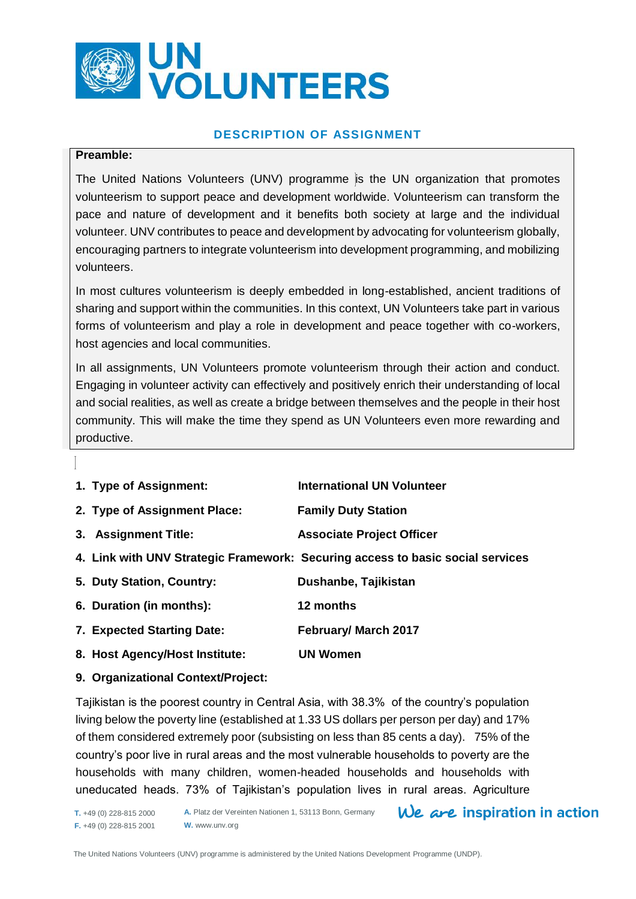

# **DESCRIPTION OF ASSIGNMENT**

#### **Preamble:**

The United Nations Volunteers (UNV) programme is the UN organization that promotes volunteerism to support peace and development worldwide. Volunteerism can transform the pace and nature of development and it benefits both society at large and the individual volunteer. UNV contributes to peace and development by advocating for volunteerism globally, encouraging partners to integrate volunteerism into development programming, and mobilizing volunteers.

In most cultures volunteerism is deeply embedded in long-established, ancient traditions of sharing and support within the communities. In this context, UN Volunteers take part in various forms of volunteerism and play a role in development and peace together with co-workers, host agencies and local communities.

In all assignments, UN Volunteers promote volunteerism through their action and conduct. Engaging in volunteer activity can effectively and positively enrich their understanding of local and social realities, as well as create a bridge between themselves and the people in their host community. This will make the time they spend as UN Volunteers even more rewarding and productive.

| 1. Type of Assignment:         | <b>International UN Volunteer</b>                                              |
|--------------------------------|--------------------------------------------------------------------------------|
| 2. Type of Assignment Place:   | <b>Family Duty Station</b>                                                     |
| 3. Assignment Title:           | <b>Associate Project Officer</b>                                               |
|                                | 4. Link with UNV Strategic Framework: Securing access to basic social services |
| 5. Duty Station, Country:      | Dushanbe, Tajikistan                                                           |
| 6. Duration (in months):       | 12 months                                                                      |
| 7. Expected Starting Date:     | February/ March 2017                                                           |
| 8. Host Agency/Host Institute: | UN Women                                                                       |

# **9. Organizational Context/Project:**

Tajikistan is the poorest country in Central Asia, with 38.3% of the country's population living below the poverty line (established at 1.33 US dollars per person per day) and 17% of them considered extremely poor (subsisting on less than 85 cents a day). 75% of the country's poor live in rural areas and the most vulnerable households to poverty are the households with many children, women-headed households and households with uneducated heads. 73% of Tajikistan's population lives in rural areas. Agriculture

**T.** +49 (0) 228-815 2000 **F.** +49 (0) 228-815 2001 **A.** Platz der Vereinten Nationen 1, 53113 Bonn, Germany **W.** www.unv.org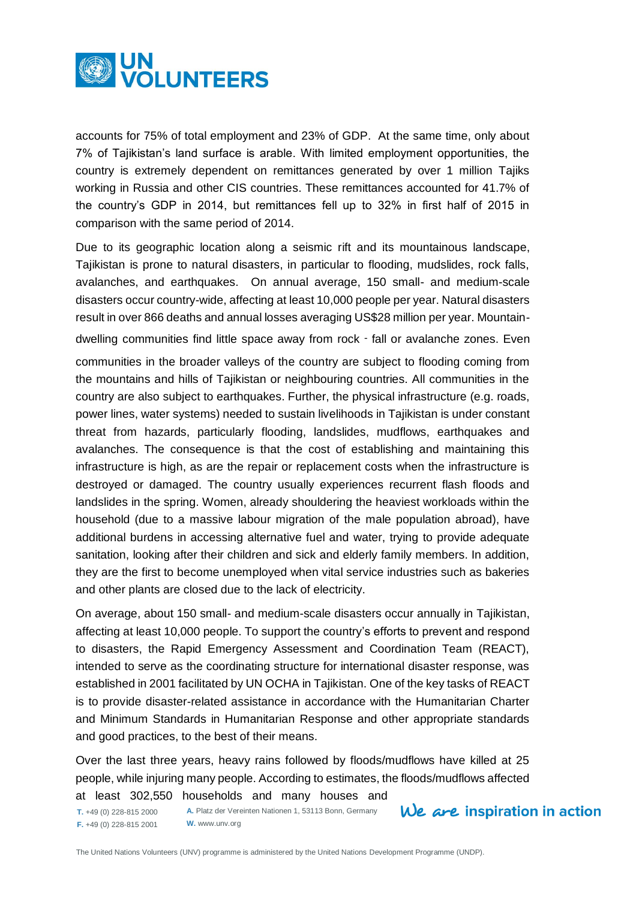

accounts for 75% of total employment and 23% of GDP. At the same time, only about 7% of Tajikistan's land surface is arable. With limited employment opportunities, the country is extremely dependent on remittances generated by over 1 million Tajiks working in Russia and other CIS countries. These remittances accounted for 41.7% of the country's GDP in 2014, but remittances fell up to 32% in first half of 2015 in comparison with the same period of 2014.

Due to its geographic location along a seismic rift and its mountainous landscape, Tajikistan is prone to natural disasters, in particular to flooding, mudslides, rock falls, avalanches, and earthquakes. On annual average, 150 small- and medium-scale disasters occur country-wide, affecting at least 10,000 people per year. Natural disasters result in over 866 deaths and annual losses averaging US\$28 million per year. Mountaindwelling communities find little space away from rock - fall or avalanche zones. Even communities in the broader valleys of the country are subject to flooding coming from the mountains and hills of Tajikistan or neighbouring countries. All communities in the country are also subject to earthquakes. Further, the physical infrastructure (e.g. roads, power lines, water systems) needed to sustain livelihoods in Tajikistan is under constant threat from hazards, particularly flooding, landslides, mudflows, earthquakes and avalanches. The consequence is that the cost of establishing and maintaining this infrastructure is high, as are the repair or replacement costs when the infrastructure is destroyed or damaged. The country usually experiences recurrent flash floods and landslides in the spring. Women, already shouldering the heaviest workloads within the household (due to a massive labour migration of the male population abroad), have additional burdens in accessing alternative fuel and water, trying to provide adequate sanitation, looking after their children and sick and elderly family members. In addition, they are the first to become unemployed when vital service industries such as bakeries and other plants are closed due to the lack of electricity.

On average, about 150 small- and medium-scale disasters occur annually in Tajikistan, affecting at least 10,000 people. To support the country's efforts to prevent and respond to disasters, the Rapid Emergency Assessment and Coordination Team (REACT), intended to serve as the coordinating structure for international disaster response, was established in 2001 facilitated by UN OCHA in Tajikistan. One of the key tasks of REACT is to provide disaster-related assistance in accordance with the Humanitarian Charter and Minimum Standards in Humanitarian Response and other appropriate standards and good practices, to the best of their means.

Over the last three years, heavy rains followed by floods/mudflows have killed at 25 people, while injuring many people. According to estimates, the floods/mudflows affected at least 302,550 households and many houses and

**T.** +49 (0) 228-815 2000 **F.** +49 (0) 228-815 2001

**A.** Platz der Vereinten Nationen 1, 53113 Bonn, Germany **W.** www.unv.org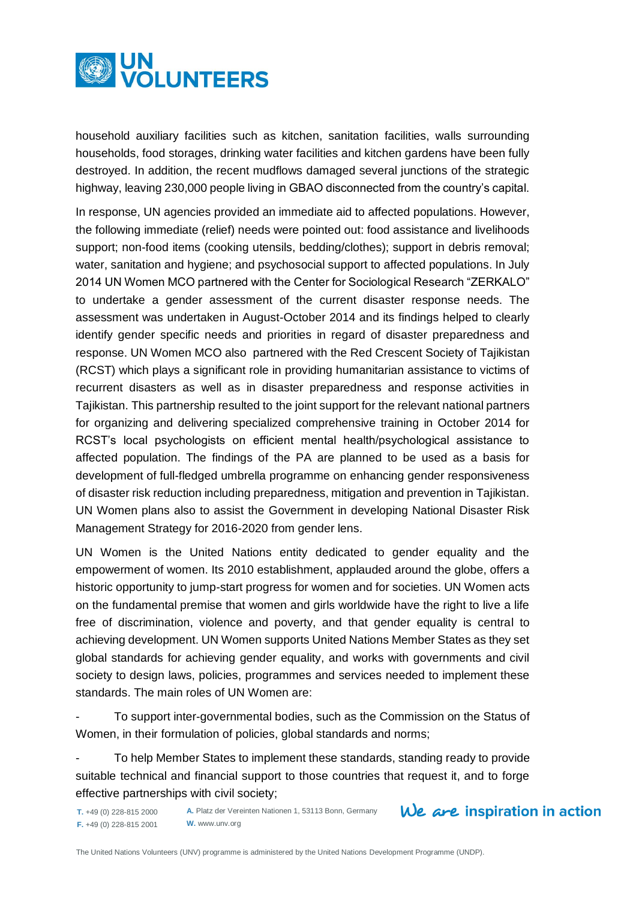

household auxiliary facilities such as kitchen, sanitation facilities, walls surrounding households, food storages, drinking water facilities and kitchen gardens have been fully destroyed. In addition, the recent mudflows damaged several junctions of the strategic highway, leaving 230,000 people living in GBAO disconnected from the country's capital.

In response, UN agencies provided an immediate aid to affected populations. However, the following immediate (relief) needs were pointed out: food assistance and livelihoods support; non-food items (cooking utensils, bedding/clothes); support in debris removal; water, sanitation and hygiene; and psychosocial support to affected populations. In July 2014 UN Women MCO partnered with the Center for Sociological Research "ZERKALO" to undertake a gender assessment of the current disaster response needs. The assessment was undertaken in August-October 2014 and its findings helped to clearly identify gender specific needs and priorities in regard of disaster preparedness and response. UN Women MCO also partnered with the Red Crescent Society of Tajikistan (RCST) which plays a significant role in providing humanitarian assistance to victims of recurrent disasters as well as in disaster preparedness and response activities in Tajikistan. This partnership resulted to the joint support for the relevant national partners for organizing and delivering specialized comprehensive training in October 2014 for RCST's local psychologists on efficient mental health/psychological assistance to affected population. The findings of the PA are planned to be used as a basis for development of full-fledged umbrella programme on enhancing gender responsiveness of disaster risk reduction including preparedness, mitigation and prevention in Tajikistan. UN Women plans also to assist the Government in developing National Disaster Risk Management Strategy for 2016-2020 from gender lens.

UN Women is the United Nations entity dedicated to gender equality and the empowerment of women. Its 2010 establishment, applauded around the globe, offers a historic opportunity to jump-start progress for women and for societies. UN Women acts on the fundamental premise that women and girls worldwide have the right to live a life free of discrimination, violence and poverty, and that gender equality is central to achieving development. UN Women supports United Nations Member States as they set global standards for achieving gender equality, and works with governments and civil society to design laws, policies, programmes and services needed to implement these standards. The main roles of UN Women are:

To support inter-governmental bodies, such as the Commission on the Status of Women, in their formulation of policies, global standards and norms;

- To help Member States to implement these standards, standing ready to provide suitable technical and financial support to those countries that request it, and to forge effective partnerships with civil society;

**T.** +49 (0) 228-815 2000 **F.** +49 (0) 228-815 2001 **A.** Platz der Vereinten Nationen 1, 53113 Bonn, Germany **W.** www.unv.org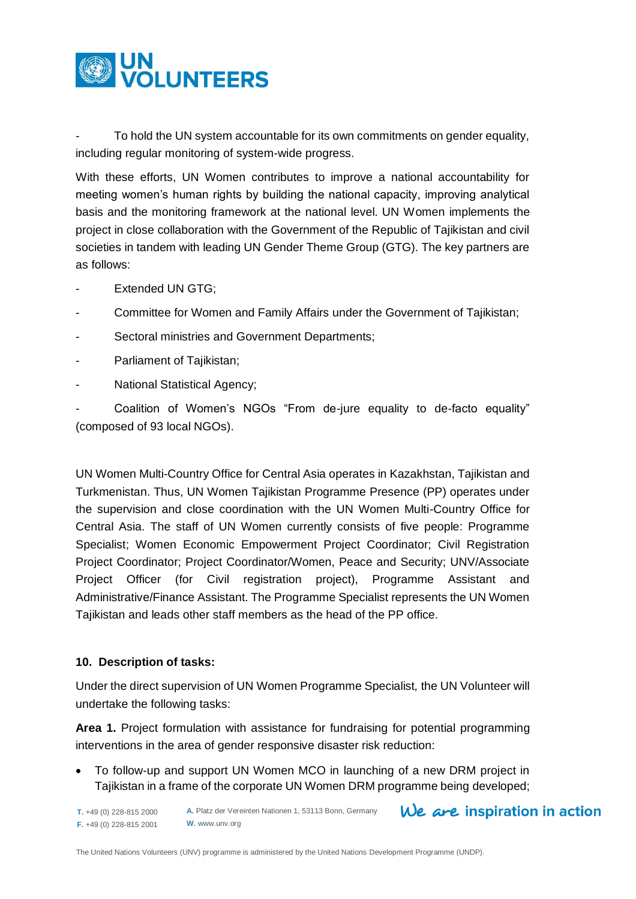

To hold the UN system accountable for its own commitments on gender equality, including regular monitoring of system-wide progress.

With these efforts, UN Women contributes to improve a national accountability for meeting women's human rights by building the national capacity, improving analytical basis and the monitoring framework at the national level. UN Women implements the project in close collaboration with the Government of the Republic of Tajikistan and civil societies in tandem with leading UN Gender Theme Group (GTG). The key partners are as follows:

- Extended UN GTG;
- Committee for Women and Family Affairs under the Government of Tajikistan;
- Sectoral ministries and Government Departments;
- Parliament of Tajikistan;
- National Statistical Agency;

Coalition of Women's NGOs "From de-jure equality to de-facto equality" (composed of 93 local NGOs).

UN Women Multi-Country Office for Central Asia operates in Kazakhstan, Tajikistan and Turkmenistan. Thus, UN Women Tajikistan Programme Presence (PP) operates under the supervision and close coordination with the UN Women Multi-Country Office for Central Asia. The staff of UN Women currently consists of five people: Programme Specialist; Women Economic Empowerment Project Coordinator; Civil Registration Project Coordinator; Project Coordinator/Women, Peace and Security; UNV/Associate Project Officer (for Civil registration project), Programme Assistant and Administrative/Finance Assistant. The Programme Specialist represents the UN Women Tajikistan and leads other staff members as the head of the PP office.

# **10. Description of tasks:**

Under the direct supervision of UN Women Programme Specialist*,* the UN Volunteer will undertake the following tasks:

**Area 1.** Project formulation with assistance for fundraising for potential programming interventions in the area of gender responsive disaster risk reduction:

 To follow-up and support UN Women MCO in launching of a new DRM project in Tajikistan in a frame of the corporate UN Women DRM programme being developed;

We are inspiration in action **A.** Platz der Vereinten Nationen 1, 53113 Bonn, Germany **T.** +49 (0) 228-815 2000 **F.** +49 (0) 228-815 2001 **W.** www.unv.org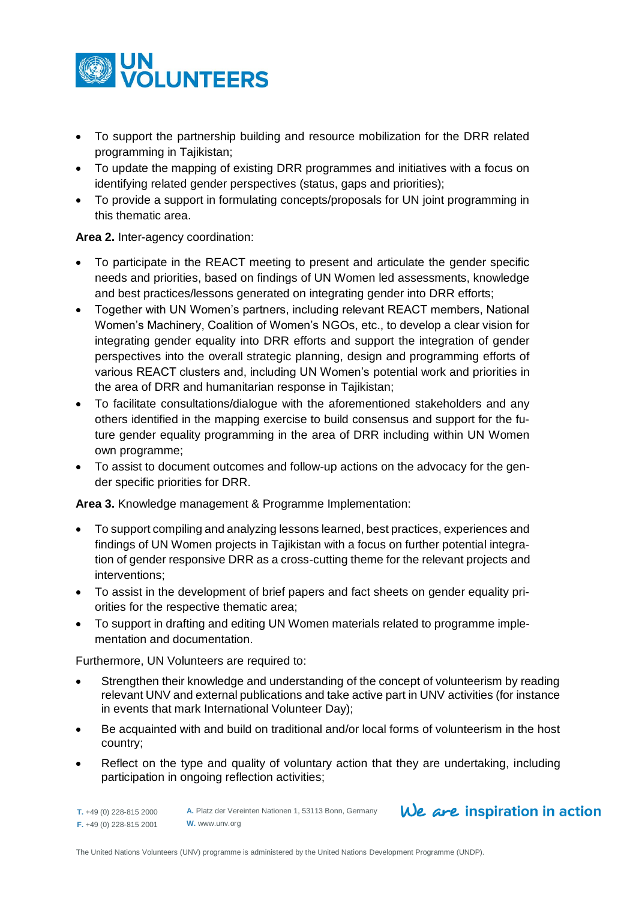

- To support the partnership building and resource mobilization for the DRR related programming in Tajikistan;
- To update the mapping of existing DRR programmes and initiatives with a focus on identifying related gender perspectives (status, gaps and priorities);
- To provide a support in formulating concepts/proposals for UN joint programming in this thematic area.

# **Area 2.** Inter-agency coordination:

- To participate in the REACT meeting to present and articulate the gender specific needs and priorities, based on findings of UN Women led assessments, knowledge and best practices/lessons generated on integrating gender into DRR efforts;
- Together with UN Women's partners, including relevant REACT members, National Women's Machinery, Coalition of Women's NGOs, etc., to develop a clear vision for integrating gender equality into DRR efforts and support the integration of gender perspectives into the overall strategic planning, design and programming efforts of various REACT clusters and, including UN Women's potential work and priorities in the area of DRR and humanitarian response in Tajikistan;
- To facilitate consultations/dialogue with the aforementioned stakeholders and any others identified in the mapping exercise to build consensus and support for the future gender equality programming in the area of DRR including within UN Women own programme;
- To assist to document outcomes and follow-up actions on the advocacy for the gender specific priorities for DRR.

**Area 3.** Knowledge management & Programme Implementation:

- To support compiling and analyzing lessons learned, best practices, experiences and findings of UN Women projects in Tajikistan with a focus on further potential integration of gender responsive DRR as a cross-cutting theme for the relevant projects and interventions;
- To assist in the development of brief papers and fact sheets on gender equality priorities for the respective thematic area;
- To support in drafting and editing UN Women materials related to programme implementation and documentation.

Furthermore, UN Volunteers are required to:

- Strengthen their knowledge and understanding of the concept of volunteerism by reading relevant UNV and external publications and take active part in UNV activities (for instance in events that mark International Volunteer Day);
- Be acquainted with and build on traditional and/or local forms of volunteerism in the host country;
- Reflect on the type and quality of voluntary action that they are undertaking, including participation in ongoing reflection activities;

**T.** +49 (0) 228-815 2000 **F.** +49 (0) 228-815 2001

**A.** Platz der Vereinten Nationen 1, 53113 Bonn, Germany **W.** www.unv.org

# We are inspiration in action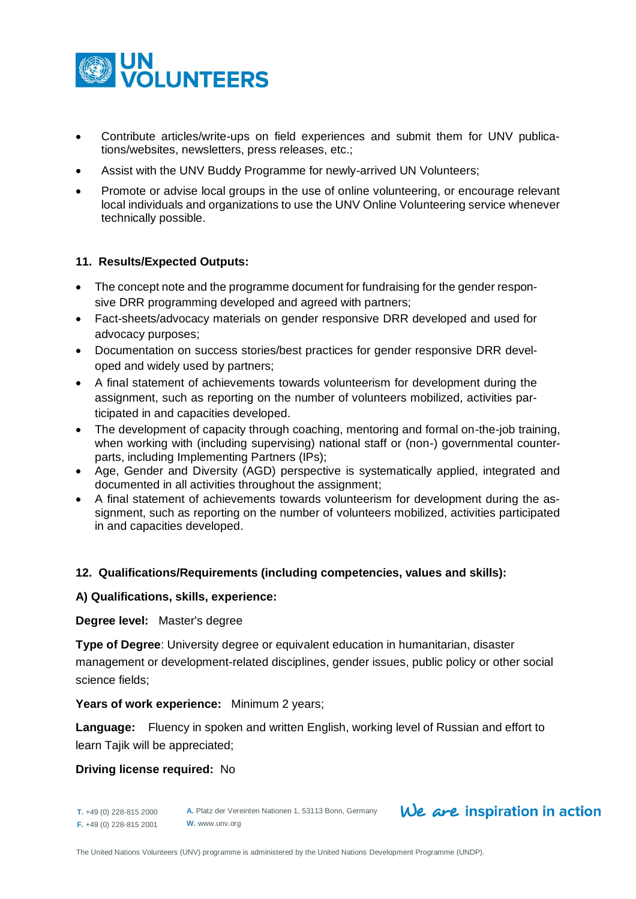

- Contribute articles/write-ups on field experiences and submit them for UNV publications/websites, newsletters, press releases, etc.;
- Assist with the UNV Buddy Programme for newly-arrived UN Volunteers;
- Promote or advise local groups in the use of online volunteering, or encourage relevant local individuals and organizations to use the UNV Online Volunteering service whenever technically possible.

#### **11. Results/Expected Outputs:**

- The concept note and the programme document for fundraising for the gender responsive DRR programming developed and agreed with partners;
- Fact-sheets/advocacy materials on gender responsive DRR developed and used for advocacy purposes;
- Documentation on success stories/best practices for gender responsive DRR developed and widely used by partners;
- A final statement of achievements towards volunteerism for development during the assignment, such as reporting on the number of volunteers mobilized, activities participated in and capacities developed.
- The development of capacity through coaching, mentoring and formal on-the-job training, when working with (including supervising) national staff or (non-) governmental counterparts, including Implementing Partners (IPs);
- Age, Gender and Diversity (AGD) perspective is systematically applied, integrated and documented in all activities throughout the assignment;
- A final statement of achievements towards volunteerism for development during the assignment, such as reporting on the number of volunteers mobilized, activities participated in and capacities developed.

#### **12. Qualifications/Requirements (including competencies, values and skills):**

#### **A) Qualifications, skills, experience:**

#### **Degree level:** Master's degree

**Type of Degree**: University degree or equivalent education in humanitarian, disaster management or development-related disciplines, gender issues, public policy or other social science fields;

#### **Years of work experience:** Minimum 2 years;

**Language:** Fluency in spoken and written English, working level of Russian and effort to learn Tajik will be appreciated;

#### **Driving license required:** No

**T.** +49 (0) 228-815 2000 **F.** +49 (0) 228-815 2001

**A.** Platz der Vereinten Nationen 1, 53113 Bonn, Germany **W.** www.unv.org

# $We$  are inspiration in action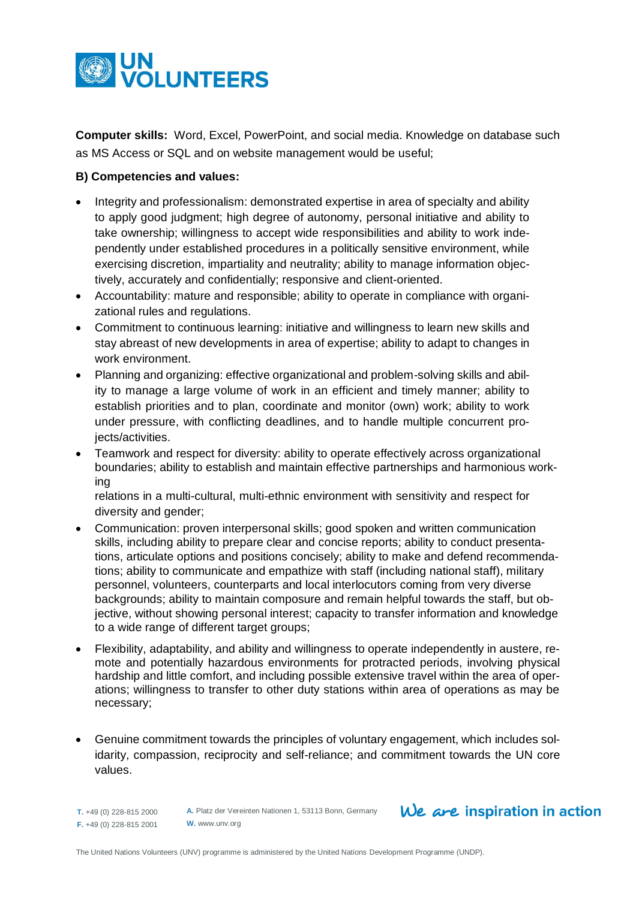

**Computer skills:** Word, Excel, PowerPoint, and social media. Knowledge on database such as MS Access or SQL and on website management would be useful;

# **B) Competencies and values:**

- Integrity and professionalism: demonstrated expertise in area of specialty and ability to apply good judgment; high degree of autonomy, personal initiative and ability to take ownership; willingness to accept wide responsibilities and ability to work independently under established procedures in a politically sensitive environment, while exercising discretion, impartiality and neutrality; ability to manage information objectively, accurately and confidentially; responsive and client-oriented.
- Accountability: mature and responsible; ability to operate in compliance with organizational rules and regulations.
- Commitment to continuous learning: initiative and willingness to learn new skills and stay abreast of new developments in area of expertise; ability to adapt to changes in work environment.
- Planning and organizing: effective organizational and problem-solving skills and ability to manage a large volume of work in an efficient and timely manner; ability to establish priorities and to plan, coordinate and monitor (own) work; ability to work under pressure, with conflicting deadlines, and to handle multiple concurrent projects/activities.
- Teamwork and respect for diversity: ability to operate effectively across organizational boundaries; ability to establish and maintain effective partnerships and harmonious working

relations in a multi-cultural, multi-ethnic environment with sensitivity and respect for diversity and gender;

- Communication: proven interpersonal skills; good spoken and written communication skills, including ability to prepare clear and concise reports; ability to conduct presentations, articulate options and positions concisely; ability to make and defend recommendations; ability to communicate and empathize with staff (including national staff), military personnel, volunteers, counterparts and local interlocutors coming from very diverse backgrounds; ability to maintain composure and remain helpful towards the staff, but objective, without showing personal interest; capacity to transfer information and knowledge to a wide range of different target groups;
- Flexibility, adaptability, and ability and willingness to operate independently in austere, remote and potentially hazardous environments for protracted periods, involving physical hardship and little comfort, and including possible extensive travel within the area of operations; willingness to transfer to other duty stations within area of operations as may be necessary;
- Genuine commitment towards the principles of voluntary engagement, which includes solidarity, compassion, reciprocity and self-reliance; and commitment towards the UN core values.

**T.** +49 (0) 228-815 2000 **F.** +49 (0) 228-815 2001

**A.** Platz der Vereinten Nationen 1, 53113 Bonn, Germany **W.** www.unv.org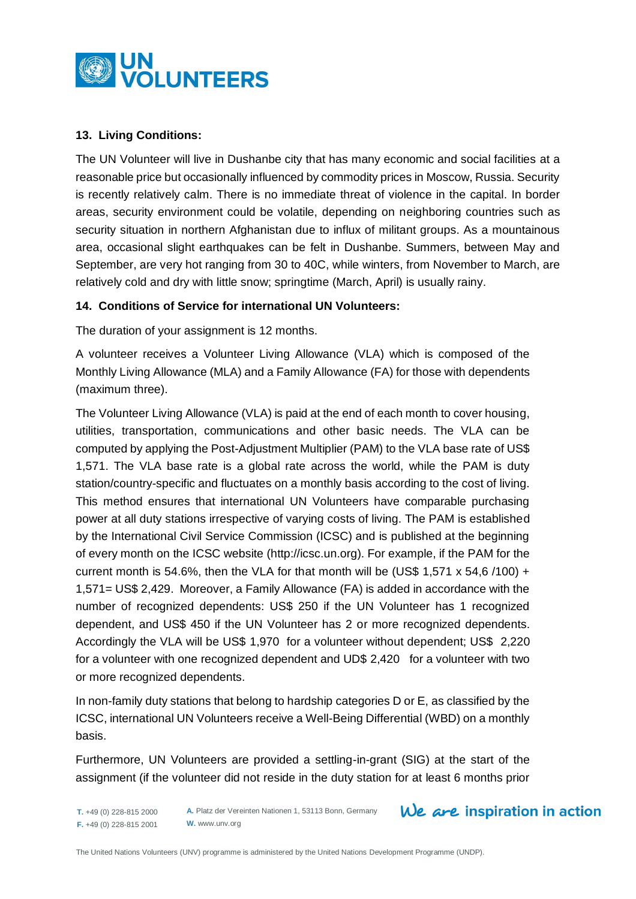

# **13. Living Conditions:**

The UN Volunteer will live in Dushanbe city that has many economic and social facilities at a reasonable price but occasionally influenced by commodity prices in Moscow, Russia. Security is recently relatively calm. There is no immediate threat of violence in the capital. In border areas, security environment could be volatile, depending on neighboring countries such as security situation in northern Afghanistan due to influx of militant groups. As a mountainous area, occasional slight earthquakes can be felt in Dushanbe. Summers, between May and September, are very hot ranging from 30 to 40C, while winters, from November to March, are relatively cold and dry with little snow; springtime (March, April) is usually rainy.

# **14. Conditions of Service for international UN Volunteers:**

The duration of your assignment is 12 months.

A volunteer receives a Volunteer Living Allowance (VLA) which is composed of the Monthly Living Allowance (MLA) and a Family Allowance (FA) for those with dependents (maximum three).

The Volunteer Living Allowance (VLA) is paid at the end of each month to cover housing, utilities, transportation, communications and other basic needs. The VLA can be computed by applying the Post-Adjustment Multiplier (PAM) to the VLA base rate of US\$ 1,571. The VLA base rate is a global rate across the world, while the PAM is duty station/country-specific and fluctuates on a monthly basis according to the cost of living. This method ensures that international UN Volunteers have comparable purchasing power at all duty stations irrespective of varying costs of living. The PAM is established by the International Civil Service Commission (ICSC) and is published at the beginning of every month on the ICSC website [\(http://icsc.un.org\)](http://icsc.un.org/). For example, if the PAM for the current month is 54.6%, then the VLA for that month will be (US\$ 1,571  $\times$  54.6 /100) + 1,571= US\$ 2,429. Moreover, a Family Allowance (FA) is added in accordance with the number of recognized dependents: US\$ 250 if the UN Volunteer has 1 recognized dependent, and US\$ 450 if the UN Volunteer has 2 or more recognized dependents. Accordingly the VLA will be US\$ 1,970 for a volunteer without dependent; US\$ 2,220 for a volunteer with one recognized dependent and UD\$ 2,420 for a volunteer with two or more recognized dependents.

In non-family duty stations that belong to hardship categories D or E, as classified by the ICSC, international UN Volunteers receive a Well-Being Differential (WBD) on a monthly basis.

Furthermore, UN Volunteers are provided a settling-in-grant (SIG) at the start of the assignment (if the volunteer did not reside in the duty station for at least 6 months prior

**A.** Platz der Vereinten Nationen 1, 53113 Bonn, Germany **W.** www.unv.org

**T.** +49 (0) 228-815 2000 **F.** +49 (0) 228-815 2001